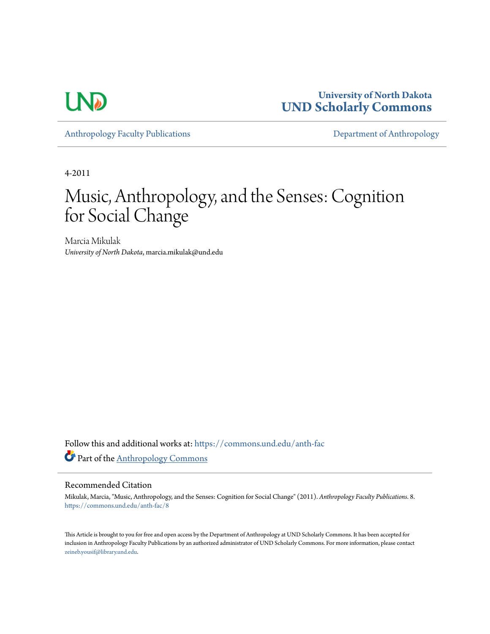

**University of North Dakota [UND Scholarly Commons](https://commons.und.edu?utm_source=commons.und.edu%2Fanth-fac%2F8&utm_medium=PDF&utm_campaign=PDFCoverPages)**

[Anthropology Faculty Publications](https://commons.und.edu/anth-fac?utm_source=commons.und.edu%2Fanth-fac%2F8&utm_medium=PDF&utm_campaign=PDFCoverPages) **[Department of Anthropology](https://commons.und.edu/anth?utm_source=commons.und.edu%2Fanth-fac%2F8&utm_medium=PDF&utm_campaign=PDFCoverPages)** 

4-2011

# Music, Anthropology, and the Senses: Cognition for Social Change

Marcia Mikulak *University of North Dakota*, marcia.mikulak@und.edu

Follow this and additional works at: [https://commons.und.edu/anth-fac](https://commons.und.edu/anth-fac?utm_source=commons.und.edu%2Fanth-fac%2F8&utm_medium=PDF&utm_campaign=PDFCoverPages) Part of the [Anthropology Commons](http://network.bepress.com/hgg/discipline/318?utm_source=commons.und.edu%2Fanth-fac%2F8&utm_medium=PDF&utm_campaign=PDFCoverPages)

## Recommended Citation

Mikulak, Marcia, "Music, Anthropology, and the Senses: Cognition for Social Change" (2011). *Anthropology Faculty Publications*. 8. [https://commons.und.edu/anth-fac/8](https://commons.und.edu/anth-fac/8?utm_source=commons.und.edu%2Fanth-fac%2F8&utm_medium=PDF&utm_campaign=PDFCoverPages)

This Article is brought to you for free and open access by the Department of Anthropology at UND Scholarly Commons. It has been accepted for inclusion in Anthropology Faculty Publications by an authorized administrator of UND Scholarly Commons. For more information, please contact [zeineb.yousif@library.und.edu](mailto:zeineb.yousif@library.und.edu).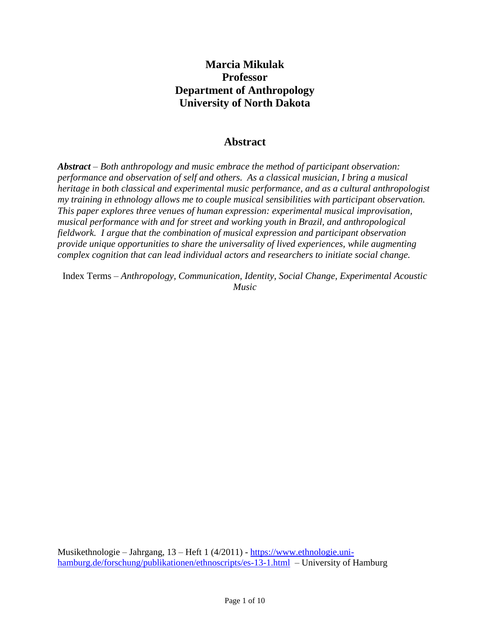# **Marcia Mikulak Professor Department of Anthropology University of North Dakota**

# **Abstract**

*Abstract – Both anthropology and music embrace the method of participant observation: performance and observation of self and others. As a classical musician, I bring a musical heritage in both classical and experimental music performance, and as a cultural anthropologist my training in ethnology allows me to couple musical sensibilities with participant observation. This paper explores three venues of human expression: experimental musical improvisation, musical performance with and for street and working youth in Brazil, and anthropological fieldwork. I argue that the combination of musical expression and participant observation provide unique opportunities to share the universality of lived experiences, while augmenting complex cognition that can lead individual actors and researchers to initiate social change.*

Index Terms *– Anthropology, Communication, Identity, Social Change, Experimental Acoustic Music*

Musikethnologie – Jahrgang, 13 – Heft 1 (4/2011) - [https://www.ethnologie.uni](https://www.ethnologie.uni-hamburg.de/forschung/publikationen/ethnoscripts/es-13-1.html)[hamburg.de/forschung/publikationen/ethnoscripts/es-13-1.html](https://www.ethnologie.uni-hamburg.de/forschung/publikationen/ethnoscripts/es-13-1.html) – University of Hamburg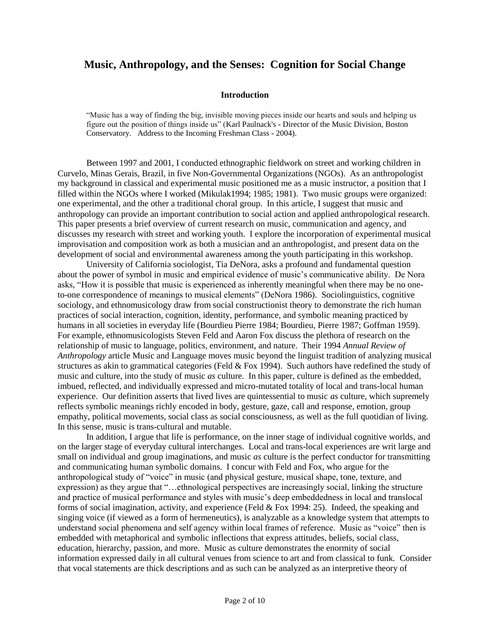# **Music, Anthropology, and the Senses: Cognition for Social Change**

#### **Introduction**

"Music has a way of finding the big, invisible moving pieces inside our hearts and souls and helping us figure out the position of things inside us" (Karl Paulnack's - Director of the Music Division, Boston Conservatory. Address to the Incoming Freshman Class - 2004).

Between 1997 and 2001, I conducted ethnographic fieldwork on street and working children in Curvelo, Minas Gerais, Brazil, in five Non-Governmental Organizations (NGOs). As an anthropologist my background in classical and experimental music positioned me as a music instructor, a position that I filled within the NGOs where I worked (Mikulak1994; 1985; 1981). Two music groups were organized: one experimental, and the other a traditional choral group. In this article, I suggest that music and anthropology can provide an important contribution to social action and applied anthropological research. This paper presents a brief overview of current research on music, communication and agency, and discusses my research with street and working youth. I explore the incorporation of experimental musical improvisation and composition work as both a musician and an anthropologist, and present data on the development of social and environmental awareness among the youth participating in this workshop.

University of California sociologist, Tia DeNora, asks a profound and fundamental question about the power of symbol in music and empirical evidence of music's communicative ability. De Nora asks, "How it is possible that music is experienced as inherently meaningful when there may be no oneto-one correspondence of meanings to musical elements" (DeNora 1986). Sociolinguistics, cognitive sociology, and ethnomusicology draw from social constructionist theory to demonstrate the rich human practices of social interaction, cognition, identity, performance, and symbolic meaning practiced by humans in all societies in everyday life (Bourdieu Pierre 1984; Bourdieu, Pierre 1987; Goffman 1959). For example, ethnomusicologists Steven Feld and Aaron Fox discuss the plethora of research on the relationship of music to language, politics, environment, and nature. Their 1994 *Annual Review of Anthropology* article Music and Language moves music beyond the linguist tradition of analyzing musical structures as akin to grammatical categories (Feld & Fox 1994). Such authors have redefined the study of music and culture, into the study of music *as* culture. In this paper, culture is defined as the embedded, imbued, reflected, and individually expressed and micro-mutated totality of local and trans-local human experience. Our definition asserts that lived lives are quintessential to music *as* culture, which supremely reflects symbolic meanings richly encoded in body, gesture, gaze, call and response, emotion, group empathy, political movements, social class as social consciousness, as well as the full quotidian of living. In this sense, music is trans-cultural and mutable.

In addition, I argue that life is performance, on the inner stage of individual cognitive worlds, and on the larger stage of everyday cultural interchanges. Local and trans-local experiences are writ large and small on individual and group imaginations, and music *as* culture is the perfect conductor for transmitting and communicating human symbolic domains. I concur with Feld and Fox, who argue for the anthropological study of "voice" in music (and physical gesture, musical shape, tone, texture, and expression) as they argue that "…ethnological perspectives are increasingly social, linking the structure and practice of musical performance and styles with music's deep embeddedness in local and translocal forms of social imagination, activity, and experience (Feld & Fox 1994: 25). Indeed, the speaking and singing voice (if viewed as a form of hermeneutics), is analyzable as a knowledge system that attempts to understand social phenomena and self agency within local frames of reference. Music as "voice" then is embedded with metaphorical and symbolic inflections that express attitudes, beliefs, social class, education, hierarchy, passion, and more. Music as culture demonstrates the enormity of social information expressed daily in all cultural venues from science to art and from classical to funk. Consider that vocal statements are thick descriptions and as such can be analyzed as an interpretive theory of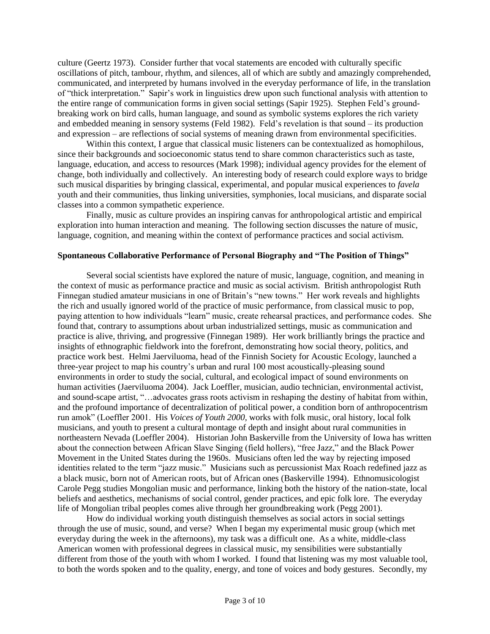culture (Geertz 1973). Consider further that vocal statements are encoded with culturally specific oscillations of pitch, tambour, rhythm, and silences, all of which are subtly and amazingly comprehended, communicated, and interpreted by humans involved in the everyday performance of life, in the translation of "thick interpretation." Sapir's work in linguistics drew upon such functional analysis with attention to the entire range of communication forms in given social settings (Sapir 1925). Stephen Feld's groundbreaking work on bird calls, human language, and sound as symbolic systems explores the rich variety and embedded meaning in sensory systems (Feld 1982). Feld's revelation is that sound – its production and expression – are reflections of social systems of meaning drawn from environmental specificities.

Within this context, I argue that classical music listeners can be contextualized as homophilous, since their backgrounds and socioeconomic status tend to share common characteristics such as taste, language, education, and access to resources (Mark 1998); individual agency provides for the element of change, both individually and collectively. An interesting body of research could explore ways to bridge such musical disparities by bringing classical, experimental, and popular musical experiences to *favela* youth and their communities, thus linking universities, symphonies, local musicians, and disparate social classes into a common sympathetic experience.

Finally, music as culture provides an inspiring canvas for anthropological artistic and empirical exploration into human interaction and meaning. The following section discusses the nature of music, language, cognition, and meaning within the context of performance practices and social activism.

# **Spontaneous Collaborative Performance of Personal Biography and "The Position of Things"**

Several social scientists have explored the nature of music, language, cognition, and meaning in the context of music as performance practice and music as social activism. British anthropologist Ruth Finnegan studied amateur musicians in one of Britain's "new towns." Her work reveals and highlights the rich and usually ignored world of the practice of music performance, from classical music to pop, paying attention to how individuals "learn" music, create rehearsal practices, and performance codes. She found that, contrary to assumptions about urban industrialized settings, music as communication and practice is alive, thriving, and progressive (Finnegan 1989). Her work brilliantly brings the practice and insights of ethnographic fieldwork into the forefront, demonstrating how social theory, politics, and practice work best. Helmi Jaerviluoma, head of the Finnish Society for Acoustic Ecology, launched a three-year project to map his country's urban and rural 100 most acoustically-pleasing sound environments in order to study the social, cultural, and ecological impact of sound environments on human activities (Jaerviluoma 2004). Jack Loeffler, musician, audio technician, environmental activist, and sound-scape artist, "…advocates grass roots activism in reshaping the destiny of habitat from within, and the profound importance of decentralization of political power, a condition born of anthropocentrism run amok" (Loeffler 2001. His *Voices of Youth 2000,* works with folk music, oral history, local folk musicians, and youth to present a cultural montage of depth and insight about rural communities in northeastern Nevada (Loeffler 2004). Historian John Baskerville from the University of Iowa has written about the connection between African Slave Singing (field hollers), "free Jazz," and the Black Power Movement in the United States during the 1960s. Musicians often led the way by rejecting imposed identities related to the term "jazz music." Musicians such as percussionist Max Roach redefined jazz as a black music, born not of American roots, but of African ones (Baskerville 1994). Ethnomusicologist Carole Pegg studies Mongolian music and performance, linking both the history of the nation-state, local beliefs and aesthetics, mechanisms of social control, gender practices, and epic folk lore. The everyday life of Mongolian tribal peoples comes alive through her groundbreaking work (Pegg 2001).

How do individual working youth distinguish themselves as social actors in social settings through the use of music, sound, and verse? When I began my experimental music group (which met everyday during the week in the afternoons), my task was a difficult one. As a white, middle-class American women with professional degrees in classical music, my sensibilities were substantially different from those of the youth with whom I worked. I found that listening was my most valuable tool, to both the words spoken and to the quality, energy, and tone of voices and body gestures. Secondly, my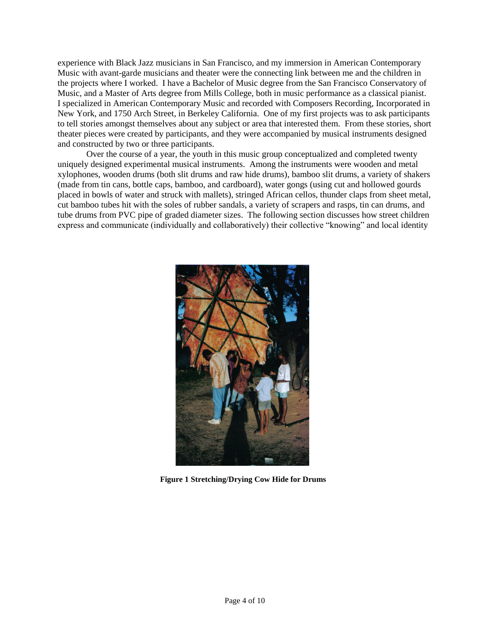experience with Black Jazz musicians in San Francisco, and my immersion in American Contemporary Music with avant-garde musicians and theater were the connecting link between me and the children in the projects where I worked. I have a Bachelor of Music degree from the San Francisco Conservatory of Music, and a Master of Arts degree from Mills College, both in music performance as a classical pianist. I specialized in American Contemporary Music and recorded with Composers Recording, Incorporated in New York, and 1750 Arch Street, in Berkeley California. One of my first projects was to ask participants to tell stories amongst themselves about any subject or area that interested them. From these stories, short theater pieces were created by participants, and they were accompanied by musical instruments designed and constructed by two or three participants.

Over the course of a year, the youth in this music group conceptualized and completed twenty uniquely designed experimental musical instruments. Among the instruments were wooden and metal xylophones, wooden drums (both slit drums and raw hide drums), bamboo slit drums, a variety of shakers (made from tin cans, bottle caps, bamboo, and cardboard), water gongs (using cut and hollowed gourds placed in bowls of water and struck with mallets), stringed African cellos, thunder claps from sheet metal, cut bamboo tubes hit with the soles of rubber sandals, a variety of scrapers and rasps, tin can drums, and tube drums from PVC pipe of graded diameter sizes. The following section discusses how street children express and communicate (individually and collaboratively) their collective "knowing" and local identity



 **Figure 1 Stretching/Drying Cow Hide for Drums**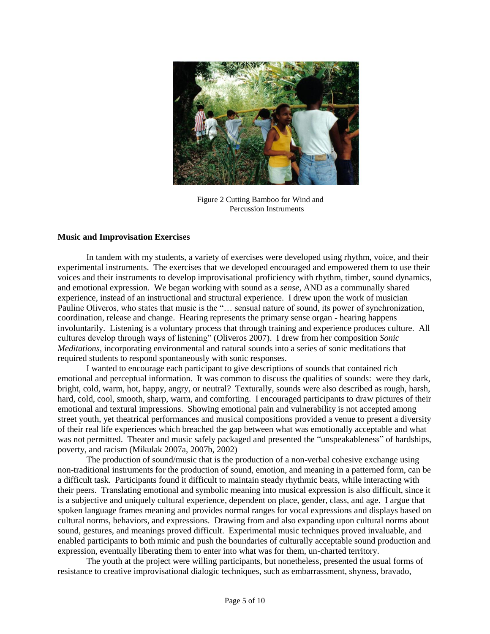

 Figure 2 Cutting Bamboo for Wind and Percussion Instruments

#### **Music and Improvisation Exercises**

In tandem with my students, a variety of exercises were developed using rhythm, voice, and their experimental instruments. The exercises that we developed encouraged and empowered them to use their voices and their instruments to develop improvisational proficiency with rhythm, timber, sound dynamics, and emotional expression. We began working with sound as a *sense*, AND as a communally shared experience, instead of an instructional and structural experience. I drew upon the work of musician Pauline Oliveros, who states that music is the "… sensual nature of sound, its power of synchronization, coordination, release and change. Hearing represents the primary sense organ - hearing happens involuntarily. Listening is a voluntary process that through training and experience produces culture. All cultures develop through ways of listening" (Oliveros 2007). I drew from her composition *Sonic Meditations*, incorporating environmental and natural sounds into a series of sonic meditations that required students to respond spontaneously with sonic responses.

I wanted to encourage each participant to give descriptions of sounds that contained rich emotional and perceptual information. It was common to discuss the qualities of sounds: were they dark, bright, cold, warm, hot, happy, angry, or neutral? Texturally, sounds were also described as rough, harsh, hard, cold, cool, smooth, sharp, warm, and comforting. I encouraged participants to draw pictures of their emotional and textural impressions. Showing emotional pain and vulnerability is not accepted among street youth, yet theatrical performances and musical compositions provided a venue to present a diversity of their real life experiences which breached the gap between what was emotionally acceptable and what was not permitted. Theater and music safely packaged and presented the "unspeakableness" of hardships, poverty, and racism (Mikulak 2007a, 2007b, 2002)

The production of sound/music that is the production of a non-verbal cohesive exchange using non-traditional instruments for the production of sound, emotion, and meaning in a patterned form, can be a difficult task. Participants found it difficult to maintain steady rhythmic beats, while interacting with their peers. Translating emotional and symbolic meaning into musical expression is also difficult, since it is a subjective and uniquely cultural experience, dependent on place, gender, class, and age. I argue that spoken language frames meaning and provides normal ranges for vocal expressions and displays based on cultural norms, behaviors, and expressions. Drawing from and also expanding upon cultural norms about sound, gestures, and meanings proved difficult. Experimental music techniques proved invaluable, and enabled participants to both mimic and push the boundaries of culturally acceptable sound production and expression, eventually liberating them to enter into what was for them, un-charted territory.

The youth at the project were willing participants, but nonetheless, presented the usual forms of resistance to creative improvisational dialogic techniques, such as embarrassment, shyness, bravado,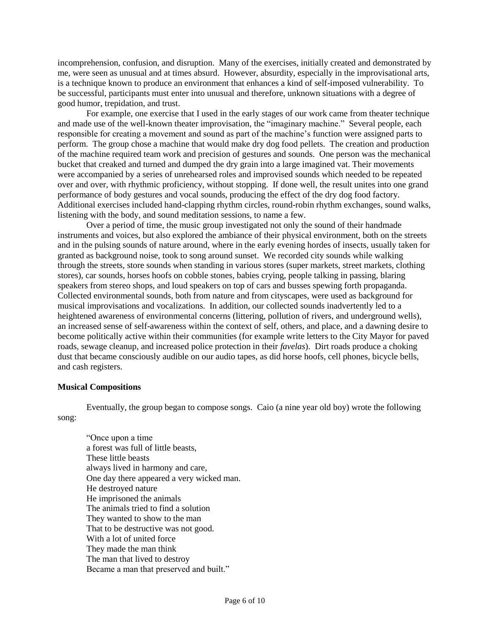incomprehension, confusion, and disruption. Many of the exercises, initially created and demonstrated by me, were seen as unusual and at times absurd. However, absurdity, especially in the improvisational arts, is a technique known to produce an environment that enhances a kind of self-imposed vulnerability. To be successful, participants must enter into unusual and therefore, unknown situations with a degree of good humor, trepidation, and trust.

For example, one exercise that I used in the early stages of our work came from theater technique and made use of the well-known theater improvisation, the "imaginary machine." Several people, each responsible for creating a movement and sound as part of the machine's function were assigned parts to perform. The group chose a machine that would make dry dog food pellets. The creation and production of the machine required team work and precision of gestures and sounds. One person was the mechanical bucket that creaked and turned and dumped the dry grain into a large imagined vat. Their movements were accompanied by a series of unrehearsed roles and improvised sounds which needed to be repeated over and over, with rhythmic proficiency, without stopping. If done well, the result unites into one grand performance of body gestures and vocal sounds, producing the effect of the dry dog food factory. Additional exercises included hand-clapping rhythm circles, round-robin rhythm exchanges, sound walks, listening with the body, and sound meditation sessions, to name a few.

Over a period of time, the music group investigated not only the sound of their handmade instruments and voices, but also explored the ambiance of their physical environment, both on the streets and in the pulsing sounds of nature around, where in the early evening hordes of insects, usually taken for granted as background noise, took to song around sunset. We recorded city sounds while walking through the streets, store sounds when standing in various stores (super markets, street markets, clothing stores), car sounds, horses hoofs on cobble stones, babies crying, people talking in passing, blaring speakers from stereo shops, and loud speakers on top of cars and busses spewing forth propaganda. Collected environmental sounds, both from nature and from cityscapes, were used as background for musical improvisations and vocalizations. In addition, our collected sounds inadvertently led to a heightened awareness of environmental concerns (littering, pollution of rivers, and underground wells), an increased sense of self-awareness within the context of self, others, and place, and a dawning desire to become politically active within their communities (for example write letters to the City Mayor for paved roads, sewage cleanup, and increased police protection in their *favelas*). Dirt roads produce a choking dust that became consciously audible on our audio tapes, as did horse hoofs, cell phones, bicycle bells, and cash registers.

# **Musical Compositions**

Eventually, the group began to compose songs. Caio (a nine year old boy) wrote the following song:

"Once upon a time a forest was full of little beasts, These little beasts always lived in harmony and care, One day there appeared a very wicked man. He destroyed nature He imprisoned the animals The animals tried to find a solution They wanted to show to the man That to be destructive was not good. With a lot of united force They made the man think The man that lived to destroy Became a man that preserved and built."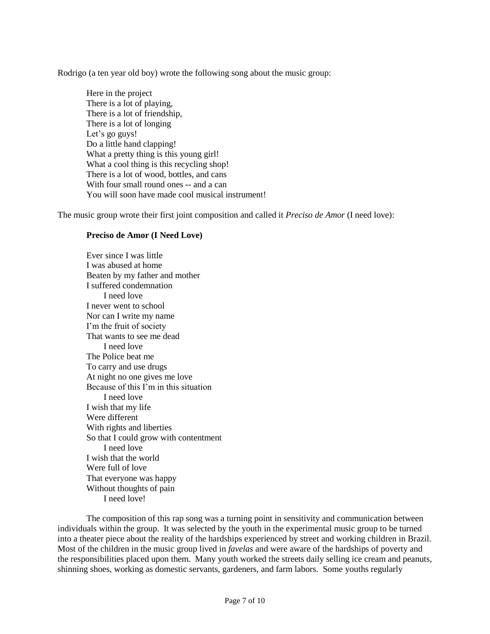Rodrigo (a ten year old boy) wrote the following song about the music group:

Here in the project There is a lot of playing, There is a lot of friendship, There is a lot of longing Let's go guys! Do a little hand clapping! What a pretty thing is this young girl! What a cool thing is this recycling shop! There is a lot of wood, bottles, and cans With four small round ones -- and a can You will soon have made cool musical instrument!

The music group wrote their first joint composition and called it *Preciso de Amor* (I need love):

# **Preciso de Amor (I Need Love)**

Ever since I was little I was abused at home Beaten by my father and mother I suffered condemnation I need love I never went to school Nor can I write my name I'm the fruit of society That wants to see me dead I need love The Police beat me To carry and use drugs At night no one gives me love Because of this I'm in this situation I need love I wish that my life Were different With rights and liberties So that I could grow with contentment I need love I wish that the world Were full of love That everyone was happy Without thoughts of pain I need love!

The composition of this rap song was a turning point in sensitivity and communication between individuals within the group. It was selected by the youth in the experimental music group to be turned into a theater piece about the reality of the hardships experienced by street and working children in Brazil. Most of the children in the music group lived in *favelas* and were aware of the hardships of poverty and the responsibilities placed upon them. Many youth worked the streets daily selling ice cream and peanuts, shinning shoes, working as domestic servants, gardeners, and farm labors. Some youths regularly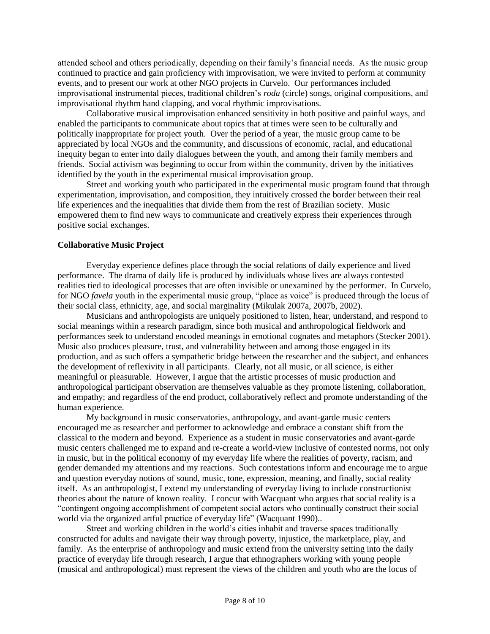attended school and others periodically, depending on their family's financial needs. As the music group continued to practice and gain proficiency with improvisation, we were invited to perform at community events, and to present our work at other NGO projects in Curvelo. Our performances included improvisational instrumental pieces, traditional children's *roda* (circle) songs, original compositions, and improvisational rhythm hand clapping, and vocal rhythmic improvisations.

Collaborative musical improvisation enhanced sensitivity in both positive and painful ways, and enabled the participants to communicate about topics that at times were seen to be culturally and politically inappropriate for project youth. Over the period of a year, the music group came to be appreciated by local NGOs and the community, and discussions of economic, racial, and educational inequity began to enter into daily dialogues between the youth, and among their family members and friends. Social activism was beginning to occur from within the community, driven by the initiatives identified by the youth in the experimental musical improvisation group.

Street and working youth who participated in the experimental music program found that through experimentation, improvisation, and composition, they intuitively crossed the border between their real life experiences and the inequalities that divide them from the rest of Brazilian society. Music empowered them to find new ways to communicate and creatively express their experiences through positive social exchanges.

# **Collaborative Music Project**

Everyday experience defines place through the social relations of daily experience and lived performance. The drama of daily life is produced by individuals whose lives are always contested realities tied to ideological processes that are often invisible or unexamined by the performer. In Curvelo, for NGO *favela* youth in the experimental music group, "place as voice" is produced through the locus of their social class, ethnicity, age, and social marginality (Mikulak 2007a, 2007b, 2002).

Musicians and anthropologists are uniquely positioned to listen, hear, understand, and respond to social meanings within a research paradigm, since both musical and anthropological fieldwork and performances seek to understand encoded meanings in emotional cognates and metaphors (Stecker 2001). Music also produces pleasure, trust, and vulnerability between and among those engaged in its production, and as such offers a sympathetic bridge between the researcher and the subject, and enhances the development of reflexivity in all participants. Clearly, not all music, or all science, is either meaningful or pleasurable. However, I argue that the artistic processes of music production and anthropological participant observation are themselves valuable as they promote listening, collaboration, and empathy; and regardless of the end product, collaboratively reflect and promote understanding of the human experience.

My background in music conservatories, anthropology, and avant-garde music centers encouraged me as researcher and performer to acknowledge and embrace a constant shift from the classical to the modern and beyond. Experience as a student in music conservatories and avant-garde music centers challenged me to expand and re-create a world-view inclusive of contested norms, not only in music, but in the political economy of my everyday life where the realities of poverty, racism, and gender demanded my attentions and my reactions. Such contestations inform and encourage me to argue and question everyday notions of sound, music, tone, expression, meaning, and finally, social reality itself. As an anthropologist, I extend my understanding of everyday living to include constructionist theories about the nature of known reality. I concur with Wacquant who argues that social reality is a "contingent ongoing accomplishment of competent social actors who continually construct their social world via the organized artful practice of everyday life" (Wacquant 1990)..

Street and working children in the world's cities inhabit and traverse spaces traditionally constructed for adults and navigate their way through poverty, injustice, the marketplace, play, and family. As the enterprise of anthropology and music extend from the university setting into the daily practice of everyday life through research, I argue that ethnographers working with young people (musical and anthropological) must represent the views of the children and youth who are the locus of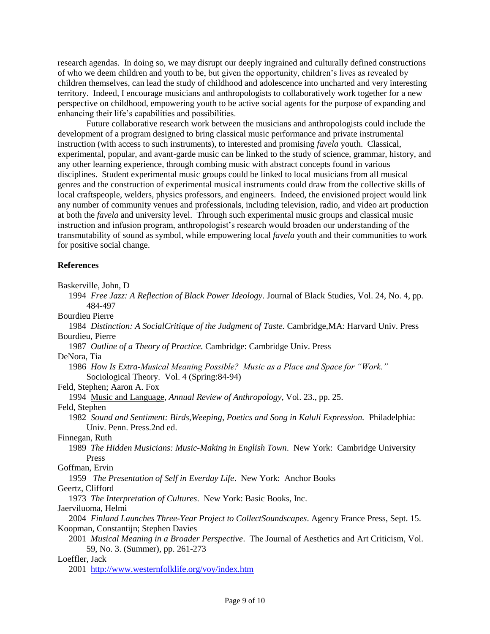research agendas. In doing so, we may disrupt our deeply ingrained and culturally defined constructions of who we deem children and youth to be, but given the opportunity, children's lives as revealed by children themselves, can lead the study of childhood and adolescence into uncharted and very interesting territory. Indeed, I encourage musicians and anthropologists to collaboratively work together for a new perspective on childhood, empowering youth to be active social agents for the purpose of expanding and enhancing their life's capabilities and possibilities.

Future collaborative research work between the musicians and anthropologists could include the development of a program designed to bring classical music performance and private instrumental instruction (with access to such instruments), to interested and promising *favela* youth. Classical, experimental, popular, and avant-garde music can be linked to the study of science, grammar, history, and any other learning experience, through combing music with abstract concepts found in various disciplines. Student experimental music groups could be linked to local musicians from all musical genres and the construction of experimental musical instruments could draw from the collective skills of local craftspeople, welders, physics professors, and engineers. Indeed, the envisioned project would link any number of community venues and professionals, including television, radio, and video art production at both the *favela* and university level. Through such experimental music groups and classical music instruction and infusion program, anthropologist's research would broaden our understanding of the transmutability of sound as symbol, while empowering local *favela* youth and their communities to work for positive social change.

# **References**

Baskerville, John, D

 1994 *Free Jazz: A Reflection of Black Power Ideology*. Journal of Black Studies, Vol. 24, No. 4, pp. 484-497

Bourdieu Pierre

 1984 *Distinction: A SocialCritique of the Judgment of Taste.* Cambridge,MA: Harvard Univ. Press Bourdieu, Pierre

1987 *Outline of a Theory of Practice.* Cambridge: Cambridge Univ. Press

DeNora, Tia

 1986 *How Is Extra-Musical Meaning Possible? Music as a Place and Space for "Work."* Sociological Theory. Vol. 4 (Spring:84-94)

Feld, Stephen; Aaron A. Fox

1994 Music and Language*, Annual Review of Anthropology*, Vol. 23., pp. 25.

Feld, Stephen

 1982 *Sound and Sentiment: Birds,Weeping, Poetics and Song in Kaluli Expression.* Philadelphia: Univ. Penn. Press.2nd ed.

Finnegan, Ruth

 1989 *The Hidden Musicians: Music-Making in English Town*. New York: Cambridge University Press

Goffman, Ervin

1959 *The Presentation of Self in Everday Life*. New York: Anchor Books

Geertz, Clifford

1973 *The Interpretation of Cultures*. New York: Basic Books, Inc.

Jaerviluoma, Helmi

 2004 *Finland Launches Three-Year Project to CollectSoundscapes*. Agency France Press, Sept. 15. Koopman, Constantijn; Stephen Davies

 2001 *Musical Meaning in a Broader Perspective*. The Journal of Aesthetics and Art Criticism, Vol. 59, No. 3. (Summer), pp. 261-273

Loeffler, Jack

2001 <http://www.westernfolklife.org/voy/index.htm>